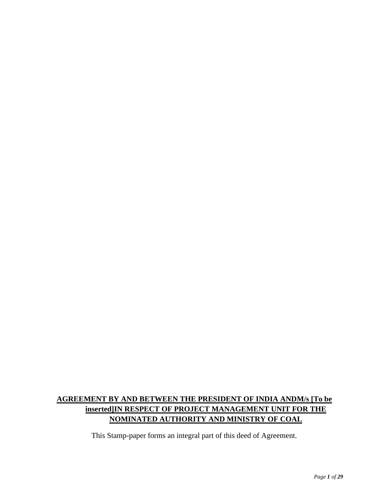# **AGREEMENT BY AND BETWEEN THE PRESIDENT OF INDIA ANDM/s [To be inserted]IN RESPECT OF PROJECT MANAGEMENT UNIT FOR THE NOMINATED AUTHORITY AND MINISTRY OF COAL**

This Stamp-paper forms an integral part of this deed of Agreement.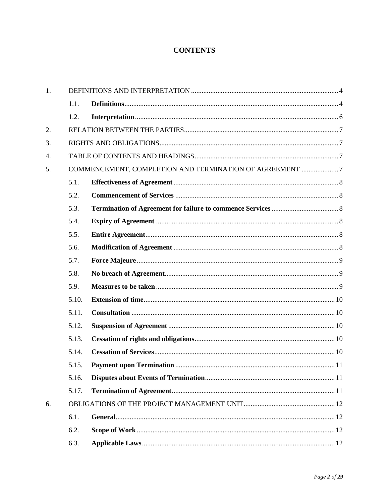## **CONTENTS**

| 1.               |       |                                                         |  |
|------------------|-------|---------------------------------------------------------|--|
|                  | 1.1.  |                                                         |  |
|                  | 1.2.  |                                                         |  |
| 2.               |       |                                                         |  |
| 3.               |       |                                                         |  |
| $\overline{4}$ . |       |                                                         |  |
| 5.               |       | COMMENCEMENT, COMPLETION AND TERMINATION OF AGREEMENT 7 |  |
|                  | 5.1.  |                                                         |  |
|                  | 5.2.  |                                                         |  |
|                  | 5.3.  |                                                         |  |
|                  | 5.4.  |                                                         |  |
|                  | 5.5.  |                                                         |  |
|                  | 5.6.  |                                                         |  |
|                  | 5.7.  |                                                         |  |
|                  | 5.8.  |                                                         |  |
|                  | 5.9.  |                                                         |  |
|                  | 5.10. |                                                         |  |
|                  | 5.11. |                                                         |  |
|                  | 5.12. |                                                         |  |
|                  | 5.13. |                                                         |  |
|                  | 5.14. |                                                         |  |
|                  | 5.15. |                                                         |  |
|                  | 5.16. |                                                         |  |
|                  | 5.17. |                                                         |  |
| 6.               |       |                                                         |  |
|                  | 6.1.  |                                                         |  |
|                  | 6.2.  |                                                         |  |
|                  | 6.3.  |                                                         |  |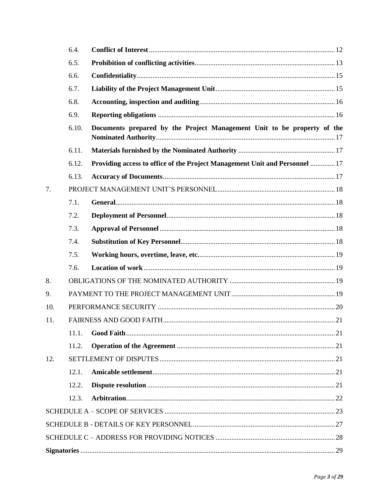|     | 6.4.  |                                                                             |  |
|-----|-------|-----------------------------------------------------------------------------|--|
|     | 6.5.  |                                                                             |  |
|     | 6.6.  |                                                                             |  |
|     | 6.7.  |                                                                             |  |
|     | 6.8.  |                                                                             |  |
|     | 6.9.  |                                                                             |  |
|     | 6.10. | Documents prepared by the Project Management Unit to be property of the     |  |
|     | 6.11. |                                                                             |  |
|     | 6.12. | Providing access to office of the Project Management Unit and Personnel  17 |  |
|     | 6.13. |                                                                             |  |
| 7.  |       |                                                                             |  |
|     | 7.1.  |                                                                             |  |
|     | 7.2.  |                                                                             |  |
|     | 7.3.  |                                                                             |  |
|     | 7.4.  |                                                                             |  |
|     | 7.5.  |                                                                             |  |
|     | 7.6.  |                                                                             |  |
| 8.  |       |                                                                             |  |
| 9.  |       |                                                                             |  |
| 10. |       |                                                                             |  |
| 11. |       |                                                                             |  |
|     | 11.1. |                                                                             |  |
|     | 11.2. |                                                                             |  |
| 12. |       |                                                                             |  |
|     | 12.1. |                                                                             |  |
|     | 12.2. |                                                                             |  |
|     | 12.3. |                                                                             |  |
|     |       |                                                                             |  |
|     |       |                                                                             |  |
|     |       |                                                                             |  |
|     |       |                                                                             |  |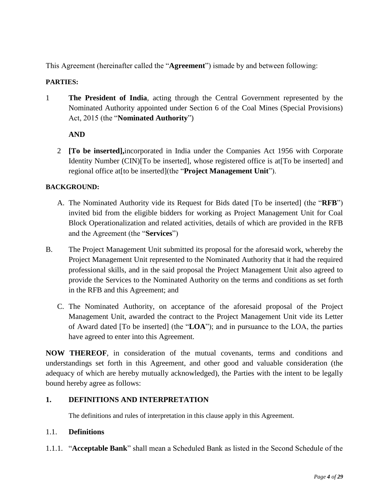This Agreement (hereinafter called the "**Agreement**") ismade by and between following:

### **PARTIES:**

1 **The President of India**, acting through the Central Government represented by the Nominated Authority appointed under Section 6 of the Coal Mines (Special Provisions) Act, 2015 (the "**Nominated Authority**")

## **AND**

2 **[To be inserted],**incorporated in India under the Companies Act 1956 with Corporate Identity Number (CIN)<sup>[To be inserted]</sup>, whose registered office is at<sup>[To be inserted] and</sup> regional office at[to be inserted](the "**Project Management Unit**").

#### **BACKGROUND:**

- A. The Nominated Authority vide its Request for Bids dated [To be inserted] (the "**RFB**") invited bid from the eligible bidders for working as Project Management Unit for Coal Block Operationalization and related activities, details of which are provided in the RFB and the Agreement (the "**Services**")
- B. The Project Management Unit submitted its proposal for the aforesaid work, whereby the Project Management Unit represented to the Nominated Authority that it had the required professional skills, and in the said proposal the Project Management Unit also agreed to provide the Services to the Nominated Authority on the terms and conditions as set forth in the RFB and this Agreement; and
	- C. The Nominated Authority, on acceptance of the aforesaid proposal of the Project Management Unit, awarded the contract to the Project Management Unit vide its Letter of Award dated [To be inserted] (the "**LOA**"); and in pursuance to the LOA, the parties have agreed to enter into this Agreement.

**NOW THEREOF**, in consideration of the mutual covenants, terms and conditions and understandings set forth in this Agreement, and other good and valuable consideration (the adequacy of which are hereby mutually acknowledged), the Parties with the intent to be legally bound hereby agree as follows:

## <span id="page-3-0"></span>**1. DEFINITIONS AND INTERPRETATION**

The definitions and rules of interpretation in this clause apply in this Agreement.

#### <span id="page-3-1"></span>1.1. **Definitions**

1.1.1. "**Acceptable Bank**" shall mean a Scheduled Bank as listed in the Second Schedule of the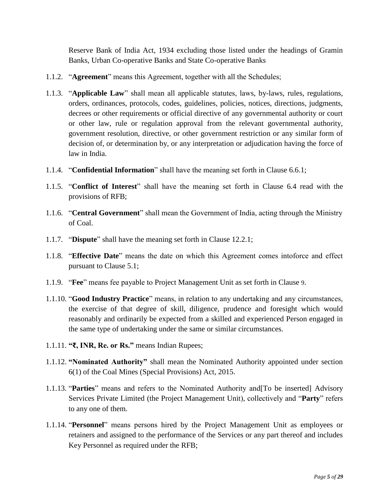Reserve Bank of India Act, 1934 excluding those listed under the headings of Gramin Banks, Urban Co-operative Banks and State Co-operative Banks

- 1.1.2. "**Agreement**" means this Agreement, together with all the Schedules;
- 1.1.3. "**Applicable Law**" shall mean all applicable statutes, laws, by-laws, rules, regulations, orders, ordinances, protocols, codes, guidelines, policies, notices, directions, judgments, decrees or other requirements or official directive of any governmental authority or court or other law, rule or regulation approval from the relevant governmental authority, government resolution, directive, or other government restriction or any similar form of decision of, or determination by, or any interpretation or adjudication having the force of law in India.
- 1.1.4. "**Confidential Information**" shall have the meaning set forth in Clause [6.6.1;](#page-14-2)
- 1.1.5. "**Conflict of Interest**" shall have the meaning set forth in Clause [6.4](#page-11-4) read with the provisions of RFB;
- 1.1.6. "**Central Government**" shall mean the Government of India, acting through the Ministry of Coal.
- 1.1.7. "**Dispute**" shall have the meaning set forth in Clause [12.2.1;](#page-20-6)
- 1.1.8. "**Effective Date**" means the date on which this Agreement comes intoforce and effect pursuant to Clause [5.1;](#page-7-0)
- 1.1.9. "**Fee**" means fee payable to Project Management Unit as set forth in Clause [9](#page-18-3).
- 1.1.10. "**Good Industry Practice**" means, in relation to any undertaking and any circumstances, the exercise of that degree of skill, diligence, prudence and foresight which would reasonably and ordinarily be expected from a skilled and experienced Person engaged in the same type of undertaking under the same or similar circumstances.
- 1.1.11. **"₹, INR, Re. or Rs."** means Indian Rupees;
- 1.1.12. **"Nominated Authority"** shall mean the Nominated Authority appointed under section 6(1) of the Coal Mines (Special Provisions) Act, 2015.
- 1.1.13. "**Parties**" means and refers to the Nominated Authority and[To be inserted] Advisory Services Private Limited (the Project Management Unit), collectively and "**Party**" refers to any one of them.
- 1.1.14. "**Personnel**" means persons hired by the Project Management Unit as employees or retainers and assigned to the performance of the Services or any part thereof and includes Key Personnel as required under the RFB;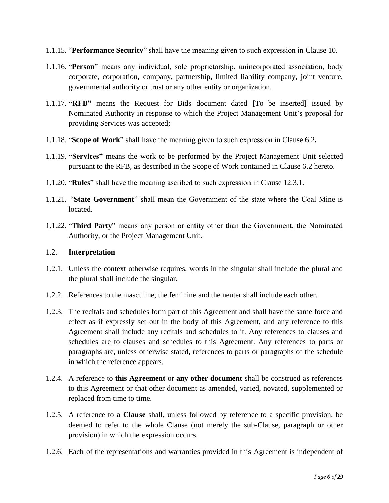- 1.1.15. "**Performance Security**" shall have the meaning given to such expression in Clause [10.](#page-19-0)
- 1.1.16. "**Person**" means any individual, sole proprietorship, unincorporated association, body corporate, corporation, company, partnership, limited liability company, joint venture, governmental authority or trust or any other entity or organization.
- 1.1.17. **"RFB"** means the Request for Bids document dated [To be inserted] issued by Nominated Authority in response to which the Project Management Unit's proposal for providing Services was accepted;
- 1.1.18. "**Scope of Work**" shall have the meaning given to such expression in Clause [6.2](#page-11-2)**.**
- 1.1.19. **"Services"** means the work to be performed by the Project Management Unit selected pursuant to the RFB, as described in the Scope of Work contained in Clause [6.2](#page-11-2) hereto.
- 1.1.20. "**Rules**" shall have the meaning ascribed to such expression in Clause [12.3.1.](#page-21-1)
- 1.1.21. "**State Government**" shall mean the Government of the state where the Coal Mine is located.
- 1.1.22. "**Third Party**" means any person or entity other than the Government, the Nominated Authority, or the Project Management Unit.

#### <span id="page-5-0"></span>1.2. **Interpretation**

- 1.2.1. Unless the context otherwise requires, words in the singular shall include the plural and the plural shall include the singular.
- 1.2.2. References to the masculine, the feminine and the neuter shall include each other.
- 1.2.3. The recitals and schedules form part of this Agreement and shall have the same force and effect as if expressly set out in the body of this Agreement, and any reference to this Agreement shall include any recitals and schedules to it. Any references to clauses and schedules are to clauses and schedules to this Agreement. Any references to parts or paragraphs are, unless otherwise stated, references to parts or paragraphs of the schedule in which the reference appears.
- 1.2.4. A reference to **this Agreement** or **any other document** shall be construed as references to this Agreement or that other document as amended, varied, novated, supplemented or replaced from time to time.
- 1.2.5. A reference to **a Clause** shall, unless followed by reference to a specific provision, be deemed to refer to the whole Clause (not merely the sub-Clause, paragraph or other provision) in which the expression occurs.
- 1.2.6. Each of the representations and warranties provided in this Agreement is independent of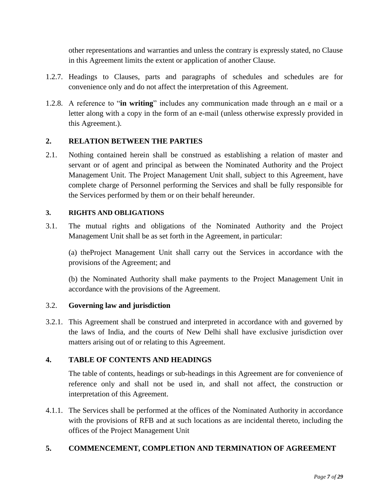other representations and warranties and unless the contrary is expressly stated, no Clause in this Agreement limits the extent or application of another Clause.

- 1.2.7. Headings to Clauses, parts and paragraphs of schedules and schedules are for convenience only and do not affect the interpretation of this Agreement.
- 1.2.8. A reference to "**in writing**" includes any communication made through an e mail or a letter along with a copy in the form of an e-mail (unless otherwise expressly provided in this Agreement.).

## <span id="page-6-0"></span>**2. RELATION BETWEEN THE PARTIES**

2.1. Nothing contained herein shall be construed as establishing a relation of master and servant or of agent and principal as between the Nominated Authority and the Project Management Unit. The Project Management Unit shall, subject to this Agreement, have complete charge of Personnel performing the Services and shall be fully responsible for the Services performed by them or on their behalf hereunder.

#### <span id="page-6-1"></span>**3. RIGHTS AND OBLIGATIONS**

3.1. The mutual rights and obligations of the Nominated Authority and the Project Management Unit shall be as set forth in the Agreement, in particular:

(a) theProject Management Unit shall carry out the Services in accordance with the provisions of the Agreement; and

(b) the Nominated Authority shall make payments to the Project Management Unit in accordance with the provisions of the Agreement.

#### 3.2. **Governing law and jurisdiction**

3.2.1. This Agreement shall be construed and interpreted in accordance with and governed by the laws of India, and the courts of New Delhi shall have exclusive jurisdiction over matters arising out of or relating to this Agreement.

## <span id="page-6-2"></span>**4. TABLE OF CONTENTS AND HEADINGS**

The table of contents, headings or sub-headings in this Agreement are for convenience of reference only and shall not be used in, and shall not affect, the construction or interpretation of this Agreement.

4.1.1. The Services shall be performed at the offices of the Nominated Authority in accordance with the provisions of RFB and at such locations as are incidental thereto, including the offices of the Project Management Unit

## <span id="page-6-3"></span>**5. COMMENCEMENT, COMPLETION AND TERMINATION OF AGREEMENT**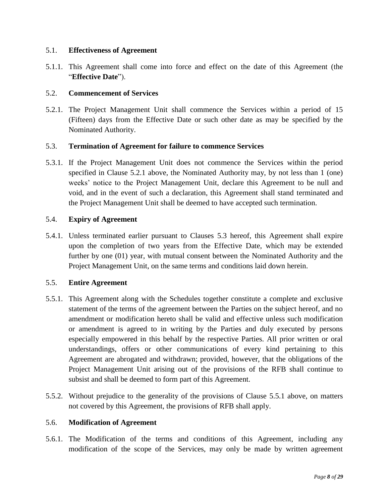#### <span id="page-7-0"></span>5.1. **Effectiveness of Agreement**

5.1.1. This Agreement shall come into force and effect on the date of this Agreement (the "**Effective Date**").

#### <span id="page-7-1"></span>5.2. **Commencement of Services**

<span id="page-7-6"></span>5.2.1. The Project Management Unit shall commence the Services within a period of 15 (Fifteen) days from the Effective Date or such other date as may be specified by the Nominated Authority.

#### <span id="page-7-2"></span>5.3. **Termination of Agreement for failure to commence Services**

5.3.1. If the Project Management Unit does not commence the Services within the period specified in Clause [5.2.1](#page-7-6) above, the Nominated Authority may, by not less than 1 (one) weeks' notice to the Project Management Unit, declare this Agreement to be null and void, and in the event of such a declaration, this Agreement shall stand terminated and the Project Management Unit shall be deemed to have accepted such termination.

#### <span id="page-7-3"></span>5.4. **Expiry of Agreement**

5.4.1. Unless terminated earlier pursuant to Clauses [5.3](#page-7-2) hereof, this Agreement shall expire upon the completion of two years from the Effective Date, which may be extended further by one (01) year, with mutual consent between the Nominated Authority and the Project Management Unit, on the same terms and conditions laid down herein.

#### <span id="page-7-4"></span>5.5. **Entire Agreement**

- <span id="page-7-7"></span>5.5.1. This Agreement along with the Schedules together constitute a complete and exclusive statement of the terms of the agreement between the Parties on the subject hereof, and no amendment or modification hereto shall be valid and effective unless such modification or amendment is agreed to in writing by the Parties and duly executed by persons especially empowered in this behalf by the respective Parties. All prior written or oral understandings, offers or other communications of every kind pertaining to this Agreement are abrogated and withdrawn; provided, however, that the obligations of the Project Management Unit arising out of the provisions of the RFB shall continue to subsist and shall be deemed to form part of this Agreement.
- 5.5.2. Without prejudice to the generality of the provisions of Clause [5.5.1](#page-7-7) above, on matters not covered by this Agreement, the provisions of RFB shall apply.

#### <span id="page-7-5"></span>5.6. **Modification of Agreement**

5.6.1. The Modification of the terms and conditions of this Agreement, including any modification of the scope of the Services, may only be made by written agreement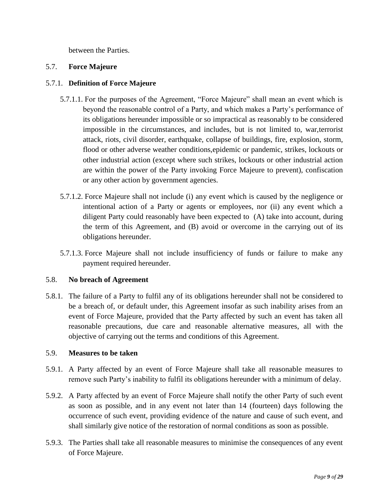between the Parties.

#### <span id="page-8-0"></span>5.7. **Force Majeure**

#### 5.7.1. **Definition of Force Majeure**

- 5.7.1.1. For the purposes of the Agreement, "Force Majeure" shall mean an event which is beyond the reasonable control of a Party, and which makes a Party's performance of its obligations hereunder impossible or so impractical as reasonably to be considered impossible in the circumstances, and includes, but is not limited to, war,terrorist attack, riots, civil disorder, earthquake, collapse of buildings, fire, explosion, storm, flood or other adverse weather conditions,epidemic or pandemic, strikes, lockouts or other industrial action (except where such strikes, lockouts or other industrial action are within the power of the Party invoking Force Majeure to prevent), confiscation or any other action by government agencies.
- 5.7.1.2. Force Majeure shall not include (i) any event which is caused by the negligence or intentional action of a Party or agents or employees, nor (ii) any event which a diligent Party could reasonably have been expected to (A) take into account, during the term of this Agreement, and (B) avoid or overcome in the carrying out of its obligations hereunder.
- 5.7.1.3. Force Majeure shall not include insufficiency of funds or failure to make any payment required hereunder.

#### <span id="page-8-1"></span>5.8. **No breach of Agreement**

5.8.1. The failure of a Party to fulfil any of its obligations hereunder shall not be considered to be a breach of, or default under, this Agreement insofar as such inability arises from an event of Force Majeure, provided that the Party affected by such an event has taken all reasonable precautions, due care and reasonable alternative measures, all with the objective of carrying out the terms and conditions of this Agreement.

## <span id="page-8-2"></span>5.9. **Measures to be taken**

- 5.9.1. A Party affected by an event of Force Majeure shall take all reasonable measures to remove such Party's inability to fulfil its obligations hereunder with a minimum of delay.
- 5.9.2. A Party affected by an event of Force Majeure shall notify the other Party of such event as soon as possible, and in any event not later than 14 (fourteen) days following the occurrence of such event, providing evidence of the nature and cause of such event, and shall similarly give notice of the restoration of normal conditions as soon as possible.
- 5.9.3. The Parties shall take all reasonable measures to minimise the consequences of any event of Force Majeure.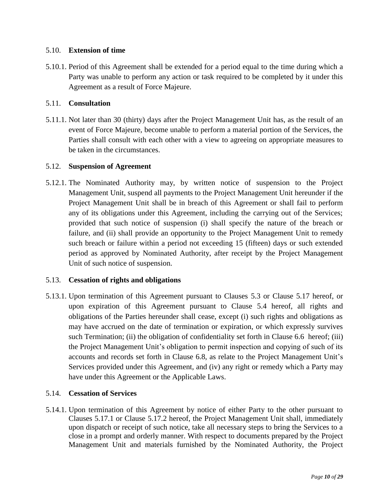#### <span id="page-9-0"></span>5.10. **Extension of time**

5.10.1. Period of this Agreement shall be extended for a period equal to the time during which a Party was unable to perform any action or task required to be completed by it under this Agreement as a result of Force Majeure.

#### <span id="page-9-1"></span>5.11. **Consultation**

5.11.1. Not later than 30 (thirty) days after the Project Management Unit has, as the result of an event of Force Majeure, become unable to perform a material portion of the Services, the Parties shall consult with each other with a view to agreeing on appropriate measures to be taken in the circumstances.

#### <span id="page-9-2"></span>5.12. **Suspension of Agreement**

5.12.1. The Nominated Authority may, by written notice of suspension to the Project Management Unit, suspend all payments to the Project Management Unit hereunder if the Project Management Unit shall be in breach of this Agreement or shall fail to perform any of its obligations under this Agreement, including the carrying out of the Services; provided that such notice of suspension (i) shall specify the nature of the breach or failure, and (ii) shall provide an opportunity to the Project Management Unit to remedy such breach or failure within a period not exceeding 15 (fifteen) days or such extended period as approved by Nominated Authority, after receipt by the Project Management Unit of such notice of suspension.

#### <span id="page-9-3"></span>5.13. **Cessation of rights and obligations**

5.13.1. Upon termination of this Agreement pursuant to Clauses [5.3](#page-7-2) or Clause [5.17](#page-10-2) hereof, or upon expiration of this Agreement pursuant to Clause [5.4](#page-7-3) hereof, all rights and obligations of the Parties hereunder shall cease, except (i) such rights and obligations as may have accrued on the date of termination or expiration, or which expressly survives such Termination; (ii) the obligation of confidentiality set forth in Clause [6.6](#page-14-0) hereof; (iii) the Project Management Unit's obligation to permit inspection and copying of such of its accounts and records set forth in Clause [6.8,](#page-15-0) as relate to the Project Management Unit's Services provided under this Agreement, and (iv) any right or remedy which a Party may have under this Agreement or the Applicable Laws.

## <span id="page-9-4"></span>5.14. **Cessation of Services**

5.14.1. Upon termination of this Agreement by notice of either Party to the other pursuant to Clauses [5.17.1](#page-10-3) or Clause [5.17.2](#page-11-5) hereof, the Project Management Unit shall, immediately upon dispatch or receipt of such notice, take all necessary steps to bring the Services to a close in a prompt and orderly manner. With respect to documents prepared by the Project Management Unit and materials furnished by the Nominated Authority, the Project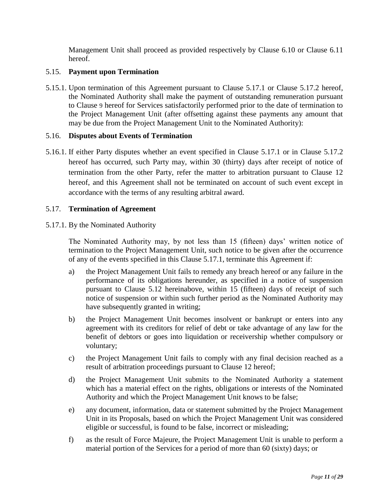Management Unit shall proceed as provided respectively by Clause [6.10](#page-16-0) or Clause [6.11](#page-16-1) hereof.

#### <span id="page-10-0"></span>5.15. **Payment upon Termination**

5.15.1. Upon termination of this Agreement pursuant to Clause [5.17.1](#page-10-3) or Clause [5.17.2](#page-11-5) hereof, the Nominated Authority shall make the payment of outstanding remuneration pursuant to Clause [9](#page-18-3) hereof for Services satisfactorily performed prior to the date of termination to the Project Management Unit (after offsetting against these payments any amount that may be due from the Project Management Unit to the Nominated Authority):

#### <span id="page-10-1"></span>5.16. **Disputes about Events of Termination**

5.16.1. If either Party disputes whether an event specified in Clause [5.17.1](#page-10-3) or in Clause [5.17.2](#page-11-5) hereof has occurred, such Party may, within 30 (thirty) days after receipt of notice of termination from the other Party, refer the matter to arbitration pursuant to Clause [12](#page-20-3) hereof, and this Agreement shall not be terminated on account of such event except in accordance with the terms of any resulting arbitral award.

#### <span id="page-10-2"></span>5.17. **Termination of Agreement**

<span id="page-10-3"></span>5.17.1. By the Nominated Authority

The Nominated Authority may, by not less than 15 (fifteen) days' written notice of termination to the Project Management Unit, such notice to be given after the occurrence of any of the events specified in this Clause [5.17.1,](#page-10-3) terminate this Agreement if:

- a) the Project Management Unit fails to remedy any breach hereof or any failure in the performance of its obligations hereunder, as specified in a notice of suspension pursuant to Clause [5.12](#page-9-2) hereinabove, within 15 (fifteen) days of receipt of such notice of suspension or within such further period as the Nominated Authority may have subsequently granted in writing;
- b) the Project Management Unit becomes insolvent or bankrupt or enters into any agreement with its creditors for relief of debt or take advantage of any law for the benefit of debtors or goes into liquidation or receivership whether compulsory or voluntary;
- c) the Project Management Unit fails to comply with any final decision reached as a result of arbitration proceedings pursuant to Clause [12](#page-20-3) hereof;
- d) the Project Management Unit submits to the Nominated Authority a statement which has a material effect on the rights, obligations or interests of the Nominated Authority and which the Project Management Unit knows to be false;
- e) any document, information, data or statement submitted by the Project Management Unit in its Proposals, based on which the Project Management Unit was considered eligible or successful, is found to be false, incorrect or misleading;
- f) as the result of Force Majeure, the Project Management Unit is unable to perform a material portion of the Services for a period of more than 60 (sixty) days; or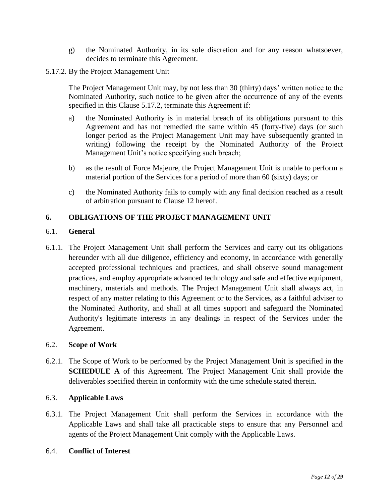- g) the Nominated Authority, in its sole discretion and for any reason whatsoever, decides to terminate this Agreement.
- <span id="page-11-5"></span>5.17.2. By the Project Management Unit

The Project Management Unit may, by not less than 30 (thirty) days' written notice to the Nominated Authority, such notice to be given after the occurrence of any of the events specified in this Clause [5.17.2,](#page-11-5) terminate this Agreement if:

- a) the Nominated Authority is in material breach of its obligations pursuant to this Agreement and has not remedied the same within 45 (forty-five) days (or such longer period as the Project Management Unit may have subsequently granted in writing) following the receipt by the Nominated Authority of the Project Management Unit's notice specifying such breach;
- b) as the result of Force Majeure, the Project Management Unit is unable to perform a material portion of the Services for a period of more than 60 (sixty) days; or
- c) the Nominated Authority fails to comply with any final decision reached as a result of arbitration pursuant to Clause [12](#page-20-3) hereof.

#### <span id="page-11-0"></span>**6. OBLIGATIONS OF THE PROJECT MANAGEMENT UNIT**

#### <span id="page-11-1"></span>6.1. **General**

6.1.1. The Project Management Unit shall perform the Services and carry out its obligations hereunder with all due diligence, efficiency and economy, in accordance with generally accepted professional techniques and practices, and shall observe sound management practices, and employ appropriate advanced technology and safe and effective equipment, machinery, materials and methods. The Project Management Unit shall always act, in respect of any matter relating to this Agreement or to the Services, as a faithful adviser to the Nominated Authority, and shall at all times support and safeguard the Nominated Authority's legitimate interests in any dealings in respect of the Services under the Agreement.

#### <span id="page-11-2"></span>6.2. **Scope of Work**

6.2.1. The Scope of Work to be performed by the Project Management Unit is specified in the **SCHEDULE A** of this Agreement. The Project Management Unit shall provide the deliverables specified therein in conformity with the time schedule stated therein.

#### <span id="page-11-3"></span>6.3. **Applicable Laws**

6.3.1. The Project Management Unit shall perform the Services in accordance with the Applicable Laws and shall take all practicable steps to ensure that any Personnel and agents of the Project Management Unit comply with the Applicable Laws.

#### <span id="page-11-4"></span>6.4. **Conflict of Interest**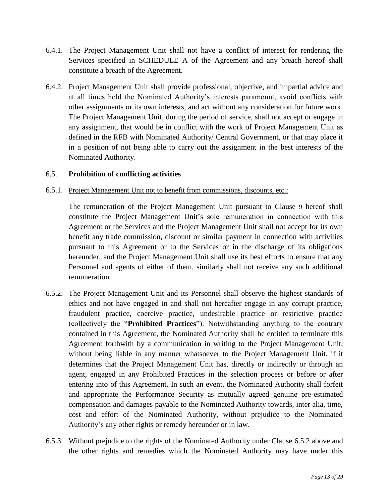- 6.4.1. The Project Management Unit shall not have a conflict of interest for rendering the Services specified in SCHEDULE A of the Agreement and any breach hereof shall constitute a breach of the Agreement.
- 6.4.2. Project Management Unit shall provide professional, objective, and impartial advice and at all times hold the Nominated Authority's interests paramount, avoid conflicts with other assignments or its own interests, and act without any consideration for future work. The Project Management Unit, during the period of service, shall not accept or engage in any assignment, that would be in conflict with the work of Project Management Unit as defined in the RFB with Nominated Authority/ Central Government, or that may place it in a position of not being able to carry out the assignment in the best interests of the Nominated Authority.

#### <span id="page-12-0"></span>6.5. **Prohibition of conflicting activities**

#### 6.5.1. Project Management Unit not to benefit from commissions, discounts, etc.:

The remuneration of the Project Management Unit pursuant to Clause [9](#page-18-3) hereof shall constitute the Project Management Unit's sole remuneration in connection with this Agreement or the Services and the Project Management Unit shall not accept for its own benefit any trade commission, discount or similar payment in connection with activities pursuant to this Agreement or to the Services or in the discharge of its obligations hereunder, and the Project Management Unit shall use its best efforts to ensure that any Personnel and agents of either of them, similarly shall not receive any such additional remuneration.

- <span id="page-12-1"></span>6.5.2. The Project Management Unit and its Personnel shall observe the highest standards of ethics and not have engaged in and shall not hereafter engage in any corrupt practice, fraudulent practice, coercive practice, undesirable practice or restrictive practice (collectively the "**Prohibited Practices**"). Notwithstanding anything to the contrary contained in this Agreement, the Nominated Authority shall be entitled to terminate this Agreement forthwith by a communication in writing to the Project Management Unit, without being liable in any manner whatsoever to the Project Management Unit, if it determines that the Project Management Unit has, directly or indirectly or through an agent, engaged in any Prohibited Practices in the selection process or before or after entering into of this Agreement. In such an event, the Nominated Authority shall forfeit and appropriate the Performance Security as mutually agreed genuine pre-estimated compensation and damages payable to the Nominated Authority towards, inter alia, time, cost and effort of the Nominated Authority, without prejudice to the Nominated Authority's any other rights or remedy hereunder or in law.
- <span id="page-12-2"></span>6.5.3. Without prejudice to the rights of the Nominated Authority under Clause [6.5.2](#page-12-1) above and the other rights and remedies which the Nominated Authority may have under this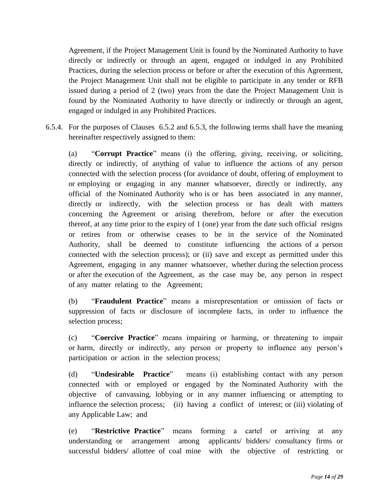Agreement, if the Project Management Unit is found by the Nominated Authority to have directly or indirectly or through an agent, engaged or indulged in any Prohibited Practices, during the selection process or before or after the execution of this Agreement, the Project Management Unit shall not be eligible to participate in any tender or RFB issued during a period of 2 (two) years from the date the Project Management Unit is found by the Nominated Authority to have directly or indirectly or through an agent, engaged or indulged in any Prohibited Practices.

6.5.4. For the purposes of Clauses [6.5.2](#page-12-1) and [6.5.3,](#page-12-2) the following terms shall have the meaning hereinafter respectively assigned to them:

(a) "**Corrupt Practice**" means (i) the offering, giving, receiving, or soliciting, directly or indirectly, of anything of value to influence the actions of any person connected with the selection process (for avoidance of doubt, offering of employment to or employing or engaging in any manner whatsoever, directly or indirectly, any official of the Nominated Authority who is or has been associated in any manner, directly or indirectly, with the selection process or has dealt with matters concerning the Agreement or arising therefrom, before or after the execution thereof, at any time prior to the expiry of 1 (one) year from the date such official resigns or retires from or otherwise ceases to be in the service of the Nominated Authority, shall be deemed to constitute influencing the actions of a person connected with the selection process); or (ii) save and except as permitted under this Agreement, engaging in any manner whatsoever, whether during the selection process or after the execution of the Agreement, as the case may be, any person in respect of any matter relating to the Agreement;

(b) "**Fraudulent Practice**" means a misrepresentation or omission of facts or suppression of facts or disclosure of incomplete facts, in order to influence the selection process;

(c) "**Coercive Practice**" means impairing or harming, or threatening to impair or harm, directly or indirectly, any person or property to influence any person's participation or action in the selection process;

(d) "**Undesirable Practice**" means (i) establishing contact with any person connected with or employed or engaged by the Nominated Authority with the objective of canvassing, lobbying or in any manner influencing or attempting to influence the selection process; (ii) having a conflict of interest; or (iii) violating of any Applicable Law; and

(e) "**Restrictive Practice**" means forming a cartel or arriving at any understanding or arrangement among applicants/ bidders/ consultancy firms or successful bidders/ allottee of coal mine with the objective of restricting or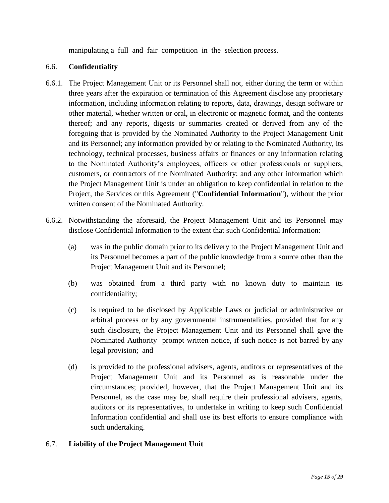manipulating a full and fair competition in the selection process.

### <span id="page-14-0"></span>6.6. **Confidentiality**

- <span id="page-14-2"></span>6.6.1. The Project Management Unit or its Personnel shall not, either during the term or within three years after the expiration or termination of this Agreement disclose any proprietary information, including information relating to reports, data, drawings, design software or other material, whether written or oral, in electronic or magnetic format, and the contents thereof; and any reports, digests or summaries created or derived from any of the foregoing that is provided by the Nominated Authority to the Project Management Unit and its Personnel; any information provided by or relating to the Nominated Authority, its technology, technical processes, business affairs or finances or any information relating to the Nominated Authority's employees, officers or other professionals or suppliers, customers, or contractors of the Nominated Authority; and any other information which the Project Management Unit is under an obligation to keep confidential in relation to the Project, the Services or this Agreement ("**Confidential Information**"), without the prior written consent of the Nominated Authority.
- 6.6.2. Notwithstanding the aforesaid, the Project Management Unit and its Personnel may disclose Confidential Information to the extent that such Confidential Information:
	- (a) was in the public domain prior to its delivery to the Project Management Unit and its Personnel becomes a part of the public knowledge from a source other than the Project Management Unit and its Personnel;
	- (b) was obtained from a third party with no known duty to maintain its confidentiality;
	- (c) is required to be disclosed by Applicable Laws or judicial or administrative or arbitral process or by any governmental instrumentalities, provided that for any such disclosure, the Project Management Unit and its Personnel shall give the Nominated Authority prompt written notice, if such notice is not barred by any legal provision; and
	- (d) is provided to the professional advisers, agents, auditors or representatives of the Project Management Unit and its Personnel as is reasonable under the circumstances; provided, however, that the Project Management Unit and its Personnel, as the case may be, shall require their professional advisers, agents, auditors or its representatives, to undertake in writing to keep such Confidential Information confidential and shall use its best efforts to ensure compliance with such undertaking.

## <span id="page-14-1"></span>6.7. **Liability of the Project Management Unit**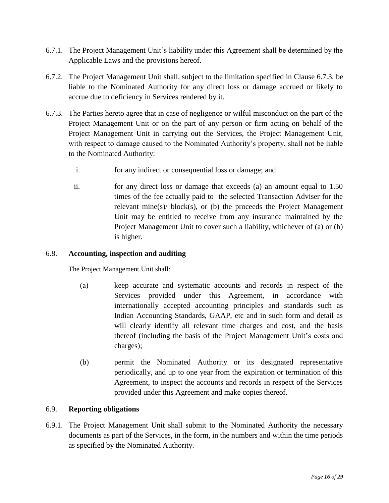- 6.7.1. The Project Management Unit's liability under this Agreement shall be determined by the Applicable Laws and the provisions hereof.
- 6.7.2. The Project Management Unit shall, subject to the limitation specified in Clause [6.7.3,](#page-15-2) be liable to the Nominated Authority for any direct loss or damage accrued or likely to accrue due to deficiency in Services rendered by it.
- <span id="page-15-2"></span>6.7.3. The Parties hereto agree that in case of negligence or wilful misconduct on the part of the Project Management Unit or on the part of any person or firm acting on behalf of the Project Management Unit in carrying out the Services, the Project Management Unit, with respect to damage caused to the Nominated Authority's property, shall not be liable to the Nominated Authority:
	- i. for any indirect or consequential loss or damage; and
	- ii. for any direct loss or damage that exceeds (a) an amount equal to 1.50 times of the fee actually paid to the selected Transaction Adviser for the relevant mine(s)/ $block(s)$ , or (b) the proceeds the Project Management Unit may be entitled to receive from any insurance maintained by the Project Management Unit to cover such a liability, whichever of (a) or (b) is higher.

#### <span id="page-15-0"></span>6.8. **Accounting, inspection and auditing**

The Project Management Unit shall:

- (a) keep accurate and systematic accounts and records in respect of the Services provided under this Agreement, in accordance with internationally accepted accounting principles and standards such as Indian Accounting Standards, GAAP, etc and in such form and detail as will clearly identify all relevant time charges and cost, and the basis thereof (including the basis of the Project Management Unit's costs and charges);
- (b) permit the Nominated Authority or its designated representative periodically, and up to one year from the expiration or termination of this Agreement, to inspect the accounts and records in respect of the Services provided under this Agreement and make copies thereof.

#### <span id="page-15-1"></span>6.9. **Reporting obligations**

6.9.1. The Project Management Unit shall submit to the Nominated Authority the necessary documents as part of the Services, in the form, in the numbers and within the time periods as specified by the Nominated Authority.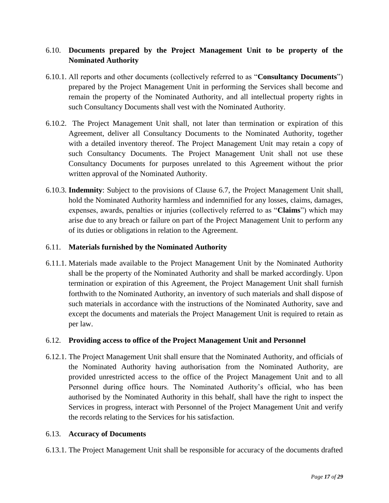## <span id="page-16-0"></span>6.10. **Documents prepared by the Project Management Unit to be property of the Nominated Authority**

- 6.10.1. All reports and other documents (collectively referred to as "**Consultancy Documents**") prepared by the Project Management Unit in performing the Services shall become and remain the property of the Nominated Authority, and all intellectual property rights in such Consultancy Documents shall vest with the Nominated Authority.
- 6.10.2. The Project Management Unit shall, not later than termination or expiration of this Agreement, deliver all Consultancy Documents to the Nominated Authority, together with a detailed inventory thereof. The Project Management Unit may retain a copy of such Consultancy Documents. The Project Management Unit shall not use these Consultancy Documents for purposes unrelated to this Agreement without the prior written approval of the Nominated Authority.
- 6.10.3. **Indemnity**: Subject to the provisions of Clause [6.7,](#page-14-1) the Project Management Unit shall, hold the Nominated Authority harmless and indemnified for any losses, claims, damages, expenses, awards, penalties or injuries (collectively referred to as "**Claims**") which may arise due to any breach or failure on part of the Project Management Unit to perform any of its duties or obligations in relation to the Agreement.

#### <span id="page-16-1"></span>6.11. **Materials furnished by the Nominated Authority**

6.11.1. Materials made available to the Project Management Unit by the Nominated Authority shall be the property of the Nominated Authority and shall be marked accordingly. Upon termination or expiration of this Agreement, the Project Management Unit shall furnish forthwith to the Nominated Authority, an inventory of such materials and shall dispose of such materials in accordance with the instructions of the Nominated Authority, save and except the documents and materials the Project Management Unit is required to retain as per law.

#### <span id="page-16-2"></span>6.12. **Providing access to office of the Project Management Unit and Personnel**

6.12.1. The Project Management Unit shall ensure that the Nominated Authority, and officials of the Nominated Authority having authorisation from the Nominated Authority, are provided unrestricted access to the office of the Project Management Unit and to all Personnel during office hours. The Nominated Authority's official, who has been authorised by the Nominated Authority in this behalf, shall have the right to inspect the Services in progress, interact with Personnel of the Project Management Unit and verify the records relating to the Services for his satisfaction.

#### <span id="page-16-3"></span>6.13. **Accuracy of Documents**

6.13.1. The Project Management Unit shall be responsible for accuracy of the documents drafted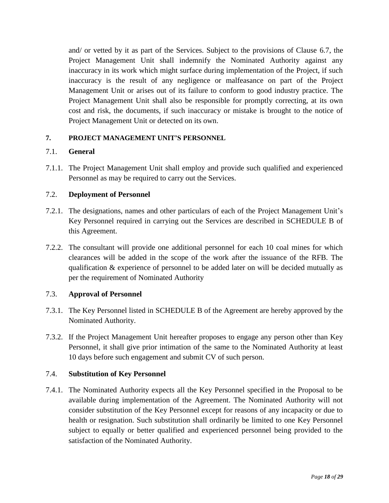and/ or vetted by it as part of the Services. Subject to the provisions of Clause [6.7,](#page-14-1) the Project Management Unit shall indemnify the Nominated Authority against any inaccuracy in its work which might surface during implementation of the Project, if such inaccuracy is the result of any negligence or malfeasance on part of the Project Management Unit or arises out of its failure to conform to good industry practice. The Project Management Unit shall also be responsible for promptly correcting, at its own cost and risk, the documents, if such inaccuracy or mistake is brought to the notice of Project Management Unit or detected on its own.

#### <span id="page-17-0"></span>**7. PROJECT MANAGEMENT UNIT'S PERSONNEL**

#### <span id="page-17-1"></span>7.1. **General**

7.1.1. The Project Management Unit shall employ and provide such qualified and experienced Personnel as may be required to carry out the Services.

#### <span id="page-17-2"></span>7.2. **Deployment of Personnel**

- 7.2.1. The designations, names and other particulars of each of the Project Management Unit's Key Personnel required in carrying out the Services are described in [SCHEDULE B](#page-26-0) of this Agreement.
- 7.2.2. The consultant will provide one additional personnel for each 10 coal mines for which clearances will be added in the scope of the work after the issuance of the RFB. The qualification & experience of personnel to be added later on will be decided mutually as per the requirement of Nominated Authority

#### <span id="page-17-3"></span>7.3. **Approval of Personnel**

- 7.3.1. The Key Personnel listed in [SCHEDULE B](#page-26-0) of the Agreement are hereby approved by the Nominated Authority.
- 7.3.2. If the Project Management Unit hereafter proposes to engage any person other than Key Personnel, it shall give prior intimation of the same to the Nominated Authority at least 10 days before such engagement and submit CV of such person.

#### <span id="page-17-4"></span>7.4. **Substitution of Key Personnel**

7.4.1. The Nominated Authority expects all the Key Personnel specified in the Proposal to be available during implementation of the Agreement. The Nominated Authority will not consider substitution of the Key Personnel except for reasons of any incapacity or due to health or resignation. Such substitution shall ordinarily be limited to one Key Personnel subject to equally or better qualified and experienced personnel being provided to the satisfaction of the Nominated Authority.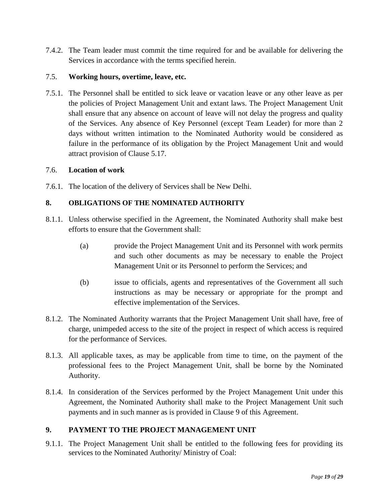7.4.2. The Team leader must commit the time required for and be available for delivering the Services in accordance with the terms specified herein.

#### <span id="page-18-0"></span>7.5. **Working hours, overtime, leave, etc.**

7.5.1. The Personnel shall be entitled to sick leave or vacation leave or any other leave as per the policies of Project Management Unit and extant laws. The Project Management Unit shall ensure that any absence on account of leave will not delay the progress and quality of the Services. Any absence of Key Personnel (except Team Leader) for more than 2 days without written intimation to the Nominated Authority would be considered as failure in the performance of its obligation by the Project Management Unit and would attract provision of Clause [5.17.](#page-10-2)

#### <span id="page-18-1"></span>7.6. **Location of work**

7.6.1. The location of the delivery of Services shall be New Delhi.

#### <span id="page-18-2"></span>**8. OBLIGATIONS OF THE NOMINATED AUTHORITY**

- 8.1.1. Unless otherwise specified in the Agreement, the Nominated Authority shall make best efforts to ensure that the Government shall:
	- (a) provide the Project Management Unit and its Personnel with work permits and such other documents as may be necessary to enable the Project Management Unit or its Personnel to perform the Services; and
	- (b) issue to officials, agents and representatives of the Government all such instructions as may be necessary or appropriate for the prompt and effective implementation of the Services.
- 8.1.2. The Nominated Authority warrants that the Project Management Unit shall have, free of charge, unimpeded access to the site of the project in respect of which access is required for the performance of Services.
- 8.1.3. All applicable taxes, as may be applicable from time to time, on the payment of the professional fees to the Project Management Unit, shall be borne by the Nominated Authority.
- 8.1.4. In consideration of the Services performed by the Project Management Unit under this Agreement, the Nominated Authority shall make to the Project Management Unit such payments and in such manner as is provided in Clause [9](#page-18-3) of this Agreement.

## <span id="page-18-3"></span>**9. PAYMENT TO THE PROJECT MANAGEMENT UNIT**

9.1.1. The Project Management Unit shall be entitled to the following fees for providing its services to the Nominated Authority/ Ministry of Coal: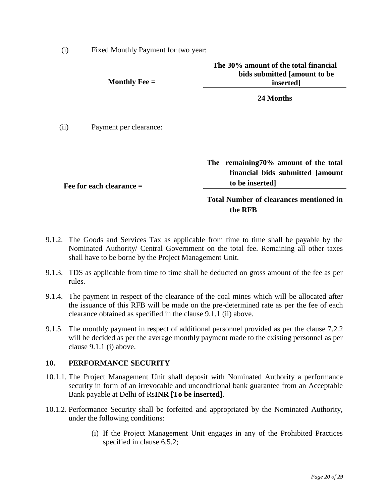(i) Fixed Monthly Payment for two year:

| Monthly Fee $=$                | The 30% amount of the total financial<br>bids submitted [amount to be<br>inserted]           |
|--------------------------------|----------------------------------------------------------------------------------------------|
|                                | 24 Months                                                                                    |
| Payment per clearance:<br>(ii) |                                                                                              |
| Fee for each clearance $=$     | The remaining 70% amount of the total<br>financial bids submitted [amount]<br>to be inserted |
|                                | <b>Total Number of clearances mentioned in</b>                                               |

9.1.2. The Goods and Services Tax as applicable from time to time shall be payable by the Nominated Authority/ Central Government on the total fee. Remaining all other taxes shall have to be borne by the Project Management Unit.

**the RFB**

- 9.1.3. TDS as applicable from time to time shall be deducted on gross amount of the fee as per rules.
- 9.1.4. The payment in respect of the clearance of the coal mines which will be allocated after the issuance of this RFB will be made on the pre-determined rate as per the fee of each clearance obtained as specified in the clause 9.1.1 (ii) above.
- 9.1.5. The monthly payment in respect of additional personnel provided as per the clause 7.2.2 will be decided as per the average monthly payment made to the existing personnel as per clause 9.1.1 (i) above.

#### <span id="page-19-0"></span>**10. PERFORMANCE SECURITY**

- 10.1.1. The Project Management Unit shall deposit with Nominated Authority a performance security in form of an irrevocable and unconditional bank guarantee from an Acceptable Bank payable at Delhi of Rs**INR [To be inserted]**.
- <span id="page-19-1"></span>10.1.2. Performance Security shall be forfeited and appropriated by the Nominated Authority, under the following conditions:
	- (i) If the Project Management Unit engages in any of the Prohibited Practices specified in clause [6.5.2;](#page-12-1)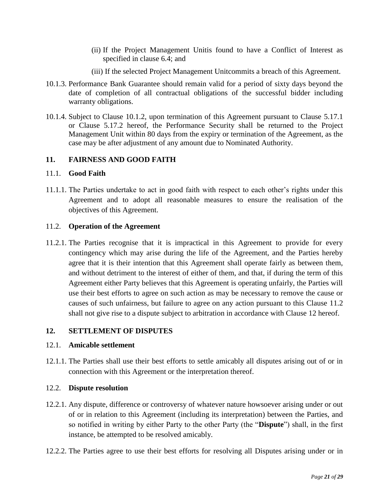- (ii) If the Project Management Unitis found to have a Conflict of Interest as specified in clause [6.4;](#page-11-4) and
- (iii) If the selected Project Management Unitcommits a breach of this Agreement.
- 10.1.3. Performance Bank Guarantee should remain valid for a period of sixty days beyond the date of completion of all contractual obligations of the successful bidder including warranty obligations.
- 10.1.4. Subject to Clause [10.1.2,](#page-19-1) upon termination of this Agreement pursuant to Clause [5.17.1](#page-10-3) or Clause [5.17.2](#page-11-5) hereof, the Performance Security shall be returned to the Project Management Unit within 80 days from the expiry or termination of the Agreement, as the case may be after adjustment of any amount due to Nominated Authority.

#### <span id="page-20-0"></span>**11. FAIRNESS AND GOOD FAITH**

#### <span id="page-20-1"></span>11.1. **Good Faith**

11.1.1. The Parties undertake to act in good faith with respect to each other's rights under this Agreement and to adopt all reasonable measures to ensure the realisation of the objectives of this Agreement.

#### <span id="page-20-2"></span>11.2. **Operation of the Agreement**

11.2.1. The Parties recognise that it is impractical in this Agreement to provide for every contingency which may arise during the life of the Agreement, and the Parties hereby agree that it is their intention that this Agreement shall operate fairly as between them, and without detriment to the interest of either of them, and that, if during the term of this Agreement either Party believes that this Agreement is operating unfairly, the Parties will use their best efforts to agree on such action as may be necessary to remove the cause or causes of such unfairness, but failure to agree on any action pursuant to this Clause [11.2](#page-20-2) shall not give rise to a dispute subject to arbitration in accordance with Clause [12](#page-20-3) hereof.

#### <span id="page-20-3"></span>**12. SETTLEMENT OF DISPUTES**

#### <span id="page-20-4"></span>12.1. **Amicable settlement**

12.1.1. The Parties shall use their best efforts to settle amicably all disputes arising out of or in connection with this Agreement or the interpretation thereof.

#### <span id="page-20-5"></span>12.2. **Dispute resolution**

- <span id="page-20-6"></span>12.2.1. Any dispute, difference or controversy of whatever nature howsoever arising under or out of or in relation to this Agreement (including its interpretation) between the Parties, and so notified in writing by either Party to the other Party (the "**Dispute**") shall, in the first instance, be attempted to be resolved amicably.
- 12.2.2. The Parties agree to use their best efforts for resolving all Disputes arising under or in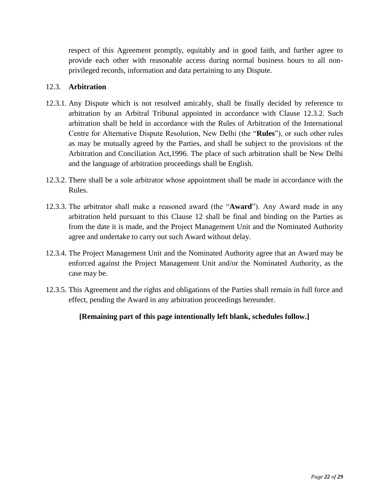respect of this Agreement promptly, equitably and in good faith, and further agree to provide each other with reasonable access during normal business hours to all nonprivileged records, information and data pertaining to any Dispute.

## <span id="page-21-0"></span>12.3. **Arbitration**

- <span id="page-21-1"></span>12.3.1. Any Dispute which is not resolved amicably, shall be finally decided by reference to arbitration by an Arbitral Tribunal appointed in accordance with Clause [12.3.2.](#page-21-2) Such arbitration shall be held in accordance with the Rules of Arbitration of the International Centre for Alternative Dispute Resolution, New Delhi (the "**Rules**"), or such other rules as may be mutually agreed by the Parties, and shall be subject to the provisions of the Arbitration and Conciliation Act,1996. The place of such arbitration shall be New Delhi and the language of arbitration proceedings shall be English.
- <span id="page-21-2"></span>12.3.2. There shall be a sole arbitrator whose appointment shall be made in accordance with the Rules.
- 12.3.3. The arbitrator shall make a reasoned award (the "**Award**"). Any Award made in any arbitration held pursuant to this Clause [12](#page-20-3) shall be final and binding on the Parties as from the date it is made, and the Project Management Unit and the Nominated Authority agree and undertake to carry out such Award without delay.
- 12.3.4. The Project Management Unit and the Nominated Authority agree that an Award may be enforced against the Project Management Unit and/or the Nominated Authority, as the case may be.
- 12.3.5. This Agreement and the rights and obligations of the Parties shall remain in full force and effect, pending the Award in any arbitration proceedings hereunder.

## **[Remaining part of this page intentionally left blank, schedules follow.]**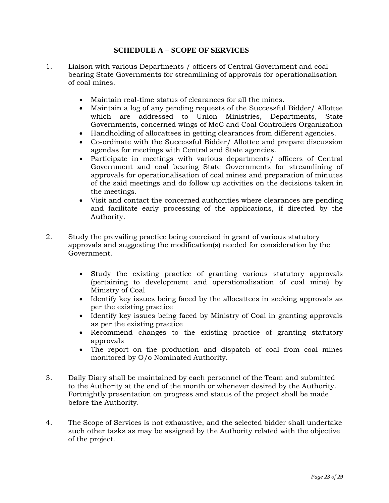#### **SCHEDULE A – SCOPE OF SERVICES**

- <span id="page-22-0"></span>1. Liaison with various Departments / officers of Central Government and coal bearing State Governments for streamlining of approvals for operationalisation of coal mines.
	- Maintain real-time status of clearances for all the mines.
	- Maintain a log of any pending requests of the Successful Bidder/ Allottee which are addressed to Union Ministries, Departments, State Governments, concerned wings of MoC and Coal Controllers Organization
	- Handholding of allocattees in getting clearances from different agencies.
	- Co-ordinate with the Successful Bidder/ Allottee and prepare discussion agendas for meetings with Central and State agencies.
	- Participate in meetings with various departments/ officers of Central Government and coal bearing State Governments for streamlining of approvals for operationalisation of coal mines and preparation of minutes of the said meetings and do follow up activities on the decisions taken in the meetings.
	- Visit and contact the concerned authorities where clearances are pending and facilitate early processing of the applications, if directed by the Authority.
- 2. Study the prevailing practice being exercised in grant of various statutory approvals and suggesting the modification(s) needed for consideration by the Government.
	- Study the existing practice of granting various statutory approvals (pertaining to development and operationalisation of coal mine) by Ministry of Coal
	- Identify key issues being faced by the allocattees in seeking approvals as per the existing practice
	- Identify key issues being faced by Ministry of Coal in granting approvals as per the existing practice
	- Recommend changes to the existing practice of granting statutory approvals
	- The report on the production and dispatch of coal from coal mines monitored by O/o Nominated Authority.
- 3. Daily Diary shall be maintained by each personnel of the Team and submitted to the Authority at the end of the month or whenever desired by the Authority. Fortnightly presentation on progress and status of the project shall be made before the Authority.
- 4. The Scope of Services is not exhaustive, and the selected bidder shall undertake such other tasks as may be assigned by the Authority related with the objective of the project.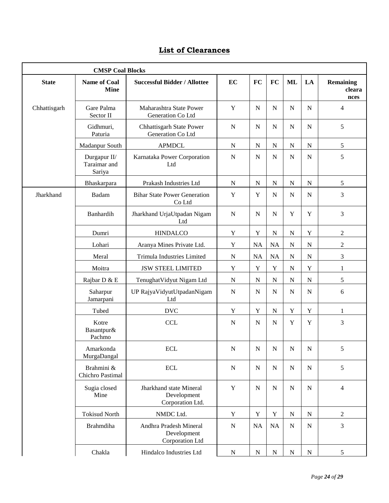# **List of Clearances**

|              | <b>CMSP Coal Blocks</b>                |                                                            |             |             |             |                |             |                                    |
|--------------|----------------------------------------|------------------------------------------------------------|-------------|-------------|-------------|----------------|-------------|------------------------------------|
| <b>State</b> | <b>Name of Coal</b><br><b>Mine</b>     | <b>Successful Bidder / Allottee</b>                        | EC          | <b>FC</b>   | FC          | <b>ML</b>      | LA          | <b>Remaining</b><br>cleara<br>nces |
| Chhattisgarh | Gare Palma<br>Sector II                | Maharashtra State Power<br>Generation Co Ltd               | $\mathbf Y$ | $\mathbf N$ | $\mathbf N$ | $\mathbf N$    | $\mathbf N$ | 4                                  |
|              | Gidhmuri,<br>Paturia                   | Chhattisgarh State Power<br>Generation Co Ltd              | $\mathbf N$ | $\mathbf N$ | $\mathbf N$ | ${\bf N}$      | $\mathbf N$ | 5                                  |
|              | Madanpur South                         | <b>APMDCL</b>                                              | $\mathbf N$ | ${\bf N}$   | $\mathbf N$ | ${\bf N}$      | ${\bf N}$   | 5                                  |
|              | Durgapur II/<br>Taraimar and<br>Sariya | Karnataka Power Corporation<br>Ltd                         | $\mathbf N$ | ${\bf N}$   | $\mathbf N$ | $\overline{N}$ | $\mathbf N$ | 5                                  |
|              | Bhaskarpara                            | Prakash Industries Ltd                                     | ${\bf N}$   | $\mathbf N$ | $\mathbf N$ | $\mathbf N$    | N           | 5                                  |
| Jharkhand    | Badam                                  | <b>Bihar State Power Generation</b><br>Co Ltd              | $\mathbf Y$ | $\mathbf Y$ | $\mathbf N$ | ${\bf N}$      | $\mathbf N$ | 3                                  |
|              | Banhardih                              | Jharkhand UrjaUtpadan Nigam<br>Ltd                         | $\mathbf N$ | $\mathbf N$ | $\mathbf N$ | $\mathbf Y$    | $\mathbf Y$ | 3                                  |
|              | Dumri                                  | <b>HINDALCO</b>                                            | $\mathbf Y$ | $\mathbf Y$ | $\mathbf N$ | $\mathbf N$    | $\mathbf Y$ | $\overline{2}$                     |
|              | Lohari                                 | Aranya Mines Private Ltd.                                  | $\mathbf Y$ | $\rm NA$    | NA          | $\mathbf N$    | ${\bf N}$   | $\boldsymbol{2}$                   |
|              | Meral                                  | Trimula Industries Limited                                 | $\mathbf N$ | NA          | NA          | ${\bf N}$      | ${\bf N}$   | 3                                  |
|              | Moitra                                 | <b>JSW STEEL LIMITED</b>                                   | $\mathbf Y$ | $\mathbf Y$ | $\mathbf Y$ | $\mathbf N$    | $\mathbf Y$ | $\mathbf{1}$                       |
|              | Rajbar D & E                           | Tenughat Vidyut Nigam Ltd                                  | ${\bf N}$   | N           | ${\bf N}$   | ${\bf N}$      | ${\bf N}$   | 5                                  |
|              | Saharpur<br>Jamarpani                  | UP RajyaVidyutUtpadanNigam<br>Ltd                          | $\mathbf N$ | ${\bf N}$   | $\mathbf N$ | $\mathbf N$    | $\mathbf N$ | 6                                  |
|              | Tubed                                  | <b>DVC</b>                                                 | Y           | Y           | ${\bf N}$   | Y              | Y           | 1                                  |
|              | Kotre<br>Basantpur&<br>Pachmo          | <b>CCL</b>                                                 | $\mathbf N$ | $\mathbf N$ | $\mathbf N$ | $\mathbf Y$    | $\mathbf Y$ | 3                                  |
|              | Amarkonda<br>MurgaDangal               | <b>ECL</b>                                                 | $\mathbf N$ | N           | $\mathbf N$ | $\mathbf N$    | N           | 5                                  |
|              | Brahmini &<br>Chichro Pastimal         | $\operatorname{ECL}$                                       | ${\bf N}$   | ${\bf N}$   | ${\bf N}$   | ${\bf N}$      | ${\bf N}$   | 5                                  |
|              | Sugia closed<br>Mine                   | Jharkhand state Mineral<br>Development<br>Corporation Ltd. | $\mathbf Y$ | ${\bf N}$   | $\mathbf N$ | ${\bf N}$      | $\mathbf N$ | 4                                  |
|              | <b>Tokisud North</b>                   | NMDC Ltd.                                                  | Y           | $\mathbf Y$ | $\mathbf Y$ | ${\bf N}$      | ${\bf N}$   | $\overline{c}$                     |
|              | <b>Brahmdiha</b>                       | Andhra Pradesh Mineral<br>Development<br>Corporation Ltd   | $\mathbf N$ | NA          | NA          | ${\bf N}$      | $\mathbf N$ | 3                                  |
|              | Chakla                                 | Hindalco Industries Ltd                                    | $\mathbf N$ | ${\bf N}$   | ${\bf N}$   | ${\bf N}$      | ${\bf N}$   | 5                                  |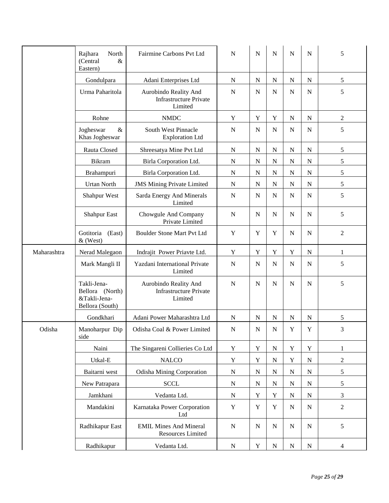|             | North<br>Rajhara<br>(Central<br>$\&$<br>Eastern)                  | Fairmine Carbons Pvt Ltd                                          | $\mathbf N$ | $\mathbf N$ | N           | $\mathbf N$ | N           | 5              |
|-------------|-------------------------------------------------------------------|-------------------------------------------------------------------|-------------|-------------|-------------|-------------|-------------|----------------|
|             | Gondulpara                                                        | Adani Enterprises Ltd                                             | ${\bf N}$   | ${\bf N}$   | N           | N           | N           | 5              |
|             | Urma Paharitola                                                   | Aurobindo Reality And<br><b>Infrastructure Private</b><br>Limited | ${\bf N}$   | ${\bf N}$   | $\mathbf N$ | ${\bf N}$   | ${\bf N}$   | 5              |
|             | Rohne                                                             | <b>NMDC</b>                                                       | Y           | Y           | Y           | N           | $\mathbf N$ | $\overline{c}$ |
|             | $\&$<br>Jogheswar<br>Khas Jogheswar                               | South West Pinnacle<br><b>Exploration Ltd</b>                     | N           | ${\bf N}$   | $\mathbf N$ | ${\bf N}$   | ${\bf N}$   | 5              |
|             | Rauta Closed                                                      | Shreesatya Mine Pvt Ltd                                           | ${\bf N}$   | ${\bf N}$   | $\mathbf N$ | ${\bf N}$   | ${\bf N}$   | 5              |
|             | Bikram                                                            | Birla Corporation Ltd.                                            | ${\bf N}$   | ${\bf N}$   | ${\bf N}$   | ${\bf N}$   | $\mathbf N$ | 5              |
|             | Brahampuri                                                        | Birla Corporation Ltd.                                            | ${\bf N}$   | ${\bf N}$   | ${\bf N}$   | ${\bf N}$   | ${\bf N}$   | 5              |
|             | <b>Urtan North</b>                                                | <b>JMS Mining Private Limited</b>                                 | ${\bf N}$   | ${\bf N}$   | ${\bf N}$   | ${\bf N}$   | ${\bf N}$   | 5              |
|             | Shahpur West                                                      | Sarda Energy And Minerals<br>Limited                              | ${\bf N}$   | $\mathbf N$ | $\mathbf N$ | ${\bf N}$   | $\mathbf N$ | 5              |
|             | <b>Shahpur East</b>                                               | Chowgule And Company<br>Private Limited                           | N           | $\mathbf N$ | $\mathbf N$ | $\mathbf N$ | $\mathbf N$ | 5              |
|             | Gotitoria<br>(East)<br>& (West)                                   | Boulder Stone Mart Pvt Ltd                                        | Y           | $\mathbf Y$ | Y           | ${\bf N}$   | $\mathbf N$ | $\overline{c}$ |
| Maharashtra | Nerad Malegaon                                                    | Indrajit Power Priavte Ltd.                                       | Y           | Y           | Y           | $\mathbf Y$ | ${\bf N}$   | $\mathbf{1}$   |
|             | Mark Mangli II                                                    | Yazdani International Private<br>Limited                          | ${\bf N}$   | $\mathbf N$ | $\mathbf N$ | $\mathbf N$ | $\mathbf N$ | 5              |
|             | Takli-Jena-<br>Bellora (North)<br>&Takli-Jena-<br>Bellora (South) | Aurobindo Reality And<br><b>Infrastructure Private</b><br>Limited | $\mathbf N$ | $\mathbf N$ | $\mathbf N$ | ${\bf N}$   | $\mathbf N$ | 5              |
|             | Gondkhari                                                         | Adani Power Maharashtra Ltd                                       | ${\bf N}$   | ${\bf N}$   | $\mathbf N$ | ${\bf N}$   | ${\bf N}$   | 5              |
| Odisha      | Manoharpur Dip<br>side                                            | Odisha Coal & Power Limited                                       | ${\bf N}$   | ${\bf N}$   | ${\bf N}$   | $\mathbf Y$ | $\mathbf Y$ | 3              |
|             | Naini                                                             | The Singareni Collieries Co Ltd                                   | $\mathbf Y$ | Y           | ${\bf N}$   | $\mathbf Y$ | $\mathbf Y$ | $\mathbf{1}$   |
|             | Utkal-E                                                           | $\rm NALCO$                                                       | $\mathbf Y$ | Y           | ${\bf N}$   | $\mathbf Y$ | ${\bf N}$   | $\mathbf{2}$   |
|             | Baitarni west                                                     | <b>Odisha Mining Corporation</b>                                  | ${\bf N}$   | ${\bf N}$   | ${\bf N}$   | ${\bf N}$   | ${\bf N}$   | 5              |
|             | New Patrapara                                                     | <b>SCCL</b>                                                       | ${\bf N}$   | ${\bf N}$   | ${\bf N}$   | ${\bf N}$   | ${\bf N}$   | 5              |
|             | Jamkhani                                                          | Vedanta Ltd.                                                      | ${\bf N}$   | Y           | Y           | ${\bf N}$   | ${\bf N}$   | 3              |
|             | Mandakini                                                         | Karnataka Power Corporation<br>Ltd                                | $\mathbf Y$ | Y           | Y           | N           | N           | $\overline{c}$ |
|             | Radhikapur East                                                   | <b>EMIL Mines And Mineral</b><br>Resources Limited                | ${\bf N}$   | ${\bf N}$   | $\mathbf N$ | ${\bf N}$   | $\mathbf N$ | 5              |
|             | Radhikapur                                                        | Vedanta Ltd.                                                      | ${\bf N}$   | Y           | $\mathbf N$ | ${\bf N}$   | ${\bf N}$   | 4              |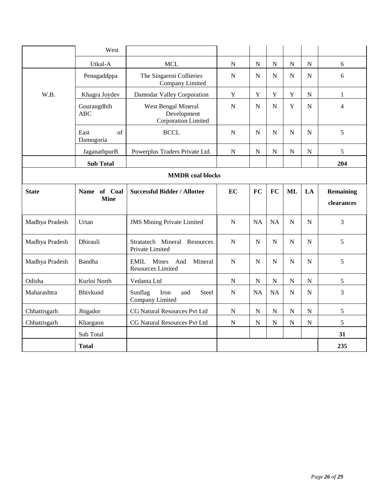|                         | West                        |                                                           |             |             |                |             |             |                                |
|-------------------------|-----------------------------|-----------------------------------------------------------|-------------|-------------|----------------|-------------|-------------|--------------------------------|
|                         | Utkal-A                     | <b>MCL</b>                                                | ${\bf N}$   | ${\bf N}$   | ${\bf N}$      | $\mathbf N$ | ${\bf N}$   | 6                              |
|                         | Penagaddppa                 | The Singareni Collieries<br>Company Limited               | $\mathbf N$ | ${\bf N}$   | $\mathbf N$    | ${\bf N}$   | $\mathbf N$ | 6                              |
| W.B.                    | Khagra Joydev               | Damodar Valley Corporation                                | Y           | Y           | Y              | $\mathbf Y$ | ${\bf N}$   | $\mathbf{1}$                   |
|                         | Gourangdhih<br><b>ABC</b>   | West Bengal Mineral<br>Development<br>Corporation Limited | $\mathbf N$ | $\mathbf N$ | $\overline{N}$ | $\mathbf Y$ | $\mathbf N$ | $\overline{4}$                 |
|                         | of<br>East<br>Damogoria     | <b>BCCL</b>                                               | $\mathbf N$ | $\mathbf N$ | $\mathbf N$    | $\mathbf N$ | $\mathbf N$ | 5                              |
|                         | JaganathpurB                | Powerplus Traders Private Ltd.                            | $\mathbf N$ | $\mathbf N$ | ${\bf N}$      | ${\bf N}$   | ${\bf N}$   | 5                              |
|                         | <b>Sub Total</b>            |                                                           |             |             |                |             |             | 204                            |
| <b>MMDR</b> coal blocks |                             |                                                           |             |             |                |             |             |                                |
| <b>State</b>            | Name of Coal<br><b>Mine</b> | <b>Successful Bidder / Allottee</b>                       | <b>EC</b>   | <b>FC</b>   | <b>FC</b>      | <b>ML</b>   | LA          | <b>Remaining</b><br>clearances |
| Madhya Pradesh          | Urtan                       | <b>JMS Mining Private Limited</b>                         | $\mathbf N$ | <b>NA</b>   | <b>NA</b>      | $\mathbf N$ | $\mathbf N$ | $\overline{3}$                 |
| Madhya Pradesh          | Dhirauli                    | Stratatech Mineral Resources<br>Private Limited           | $\mathbf N$ | ${\bf N}$   | ${\bf N}$      | $\mathbf N$ | ${\bf N}$   | 5                              |
| Madhya Pradesh          | Bandha                      | EMIL Mines<br>Mineral<br>And<br><b>Resources Limited</b>  | N           | N           | N              | $\mathbf N$ | $\mathbf N$ | 5                              |
| Odisha                  | Kurloi North                | Vedanta Ltd                                               | ${\bf N}$   | ${\bf N}$   | ${\bf N}$      | ${\bf N}$   | ${\bf N}$   | 5                              |
| Maharashtra             | Bhivkund                    | Sunflag<br><b>Steel</b><br>Iron<br>and<br>Company Limited | $\mathbf N$ | <b>NA</b>   | <b>NA</b>      | $\mathbf N$ | $\mathbf N$ | 3                              |
| Chhattisgarh            | Jhigador                    | CG Natural Resources Pvt Ltd                              | $\mathbf N$ | $\mathbf N$ | $\mathbf N$    | $\mathbf N$ | ${\bf N}$   | 5                              |
| Chhattisgarh            | Khargaon                    | CG Natural Resources Pvt Ltd                              | ${\bf N}$   | ${\bf N}$   | ${\bf N}$      | ${\bf N}$   | ${\bf N}$   | 5                              |
|                         | Sub Total                   |                                                           |             |             |                |             |             | 31                             |
|                         | <b>Total</b>                |                                                           |             |             |                |             |             | 235                            |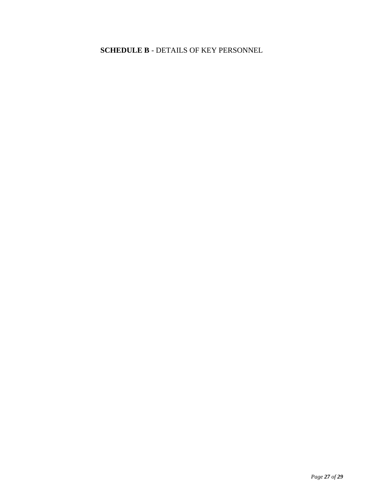<span id="page-26-0"></span>**SCHEDULE B** - DETAILS OF KEY PERSONNEL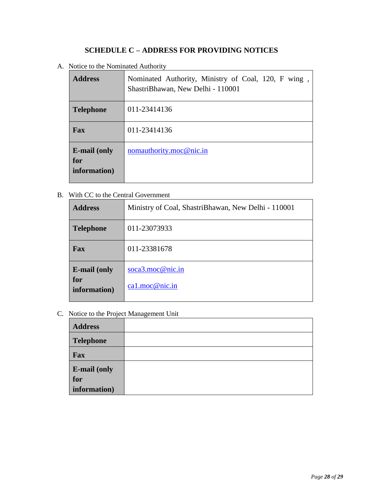## **SCHEDULE C – ADDRESS FOR PROVIDING NOTICES**

<span id="page-27-0"></span>A. Notice to the Nominated Authority

| <b>Address</b>                             | Nominated Authority, Ministry of Coal, 120, F wing<br>ShastriBhawan, New Delhi - 110001 |
|--------------------------------------------|-----------------------------------------------------------------------------------------|
| <b>Telephone</b>                           | 011-23414136                                                                            |
| <b>Fax</b>                                 | 011-23414136                                                                            |
| <b>E-mail (only</b><br>for<br>information) | nomauthority.moc@nic.in                                                                 |

B. With CC to the Central Government

| <b>Address</b>                             | Ministry of Coal, ShastriBhawan, New Delhi - 110001 |
|--------------------------------------------|-----------------------------------------------------|
| <b>Telephone</b>                           | 011-23073933                                        |
| Fax                                        | 011-23381678                                        |
| <b>E-mail (only</b><br>for<br>information) | soca3.moc@nic.in<br>ca1.moc@nic.in                  |

C. Notice to the Project Management Unit

| <b>Address</b>      |  |
|---------------------|--|
| <b>Telephone</b>    |  |
| Fax                 |  |
| <b>E-mail (only</b> |  |
| for                 |  |
| information)        |  |